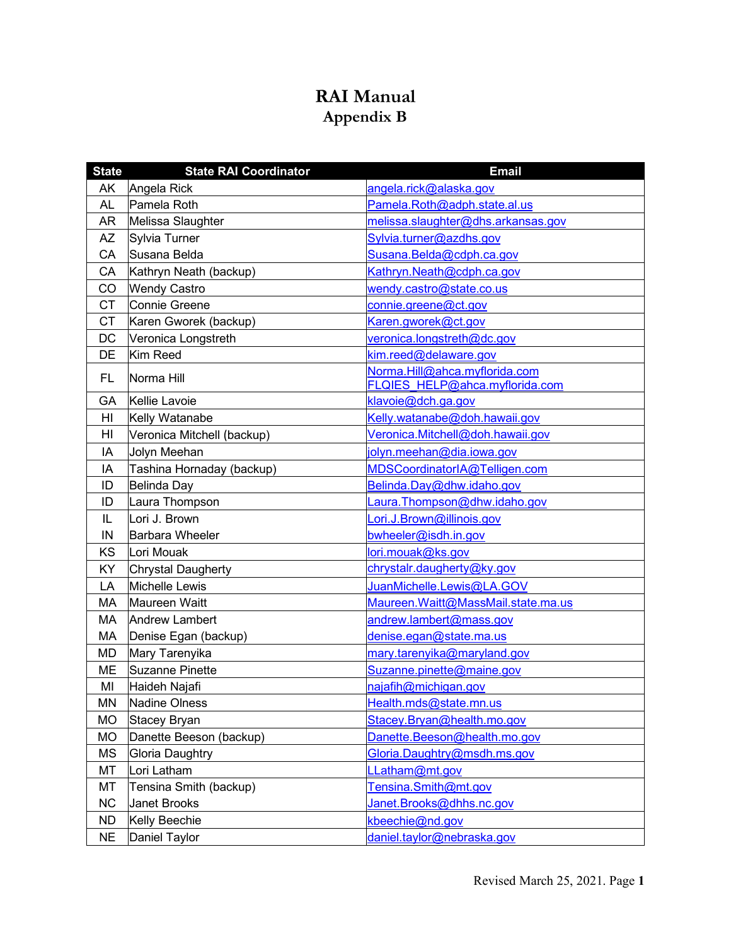## **RAI Manual Appendix B**

| <b>State</b> | <b>State RAI Coordinator</b> | <b>Email</b>                        |
|--------------|------------------------------|-------------------------------------|
| AK           | Angela Rick                  | angela.rick@alaska.gov              |
| <b>AL</b>    | Pamela Roth                  | Pamela.Roth@adph.state.al.us        |
| <b>AR</b>    | Melissa Slaughter            | melissa.slaughter@dhs.arkansas.gov  |
| AZ           | Sylvia Turner                | Sylvia.turner@azdhs.gov             |
| CA           | Susana Belda                 | Susana.Belda@cdph.ca.gov            |
| CA           | Kathryn Neath (backup)       | Kathryn.Neath@cdph.ca.gov           |
| CO           | <b>Wendy Castro</b>          | wendy.castro@state.co.us            |
| <b>CT</b>    | Connie Greene                | connie.greene@ct.gov                |
| <b>CT</b>    | Karen Gworek (backup)        | Karen.gworek@ct.gov                 |
| <b>DC</b>    | Veronica Longstreth          | veronica.longstreth@dc.gov          |
| DE           | Kim Reed                     | kim.reed@delaware.gov               |
| FL.          | Norma Hill                   | Norma.Hill@ahca.myflorida.com       |
|              |                              | FLQIES HELP@ahca.myflorida.com      |
| GA           | Kellie Lavoie                | klavoie@dch.ga.gov                  |
| HI           | Kelly Watanabe               | Kelly.watanabe@doh.hawaii.gov       |
| HI           | Veronica Mitchell (backup)   | Veronica.Mitchell@doh.hawaii.gov    |
| IA           | Jolyn Meehan                 | jolyn.meehan@dia.iowa.gov           |
| IA           | Tashina Hornaday (backup)    | MDSCoordinatorIA@Telligen.com       |
| ID           | Belinda Day                  | Belinda.Day@dhw.idaho.gov           |
| ID           | Laura Thompson               | Laura.Thompson@dhw.idaho.gov        |
| IL           | Lori J. Brown                | Lori.J.Brown@illinois.gov           |
| IN           | <b>Barbara Wheeler</b>       | bwheeler@isdh.in.gov                |
| KS           | Lori Mouak                   | lori.mouak@ks.gov                   |
| KY           | Chrystal Daugherty           | chrystalr.daugherty@ky.gov          |
| LA           | Michelle Lewis               | JuanMichelle.Lewis@LA.GOV           |
| MA           | Maureen Waitt                | Maureen. Waitt@MassMail.state.ma.us |
| МA           | <b>Andrew Lambert</b>        | andrew.lambert@mass.gov             |
| MA           | Denise Egan (backup)         | denise.egan@state.ma.us             |
| <b>MD</b>    | Mary Tarenyika               | mary.tarenyika@maryland.gov         |
| ME           | Suzanne Pinette              | Suzanne.pinette@maine.gov           |
| MI           | Haideh Najafi                | najafih@michigan.gov                |
| <b>MN</b>    | Nadine Olness                | Health.mds@state.mn.us              |
| <b>MO</b>    | Stacey Bryan                 | Stacey.Bryan@health.mo.gov          |
| MO           | Danette Beeson (backup)      | Danette.Beeson@health.mo.gov        |
| <b>MS</b>    | <b>Gloria Daughtry</b>       | Gloria.Daughtry@msdh.ms.gov         |
| MT           | Lori Latham                  | LLatham@mt.gov                      |
| MT           | Tensina Smith (backup)       | Tensina.Smith@mt.gov                |
| NC           | <b>Janet Brooks</b>          | Janet.Brooks@dhhs.nc.gov            |
| <b>ND</b>    | Kelly Beechie                | kbeechie@nd.gov                     |
| <b>NE</b>    | Daniel Taylor                | daniel.taylor@nebraska.gov          |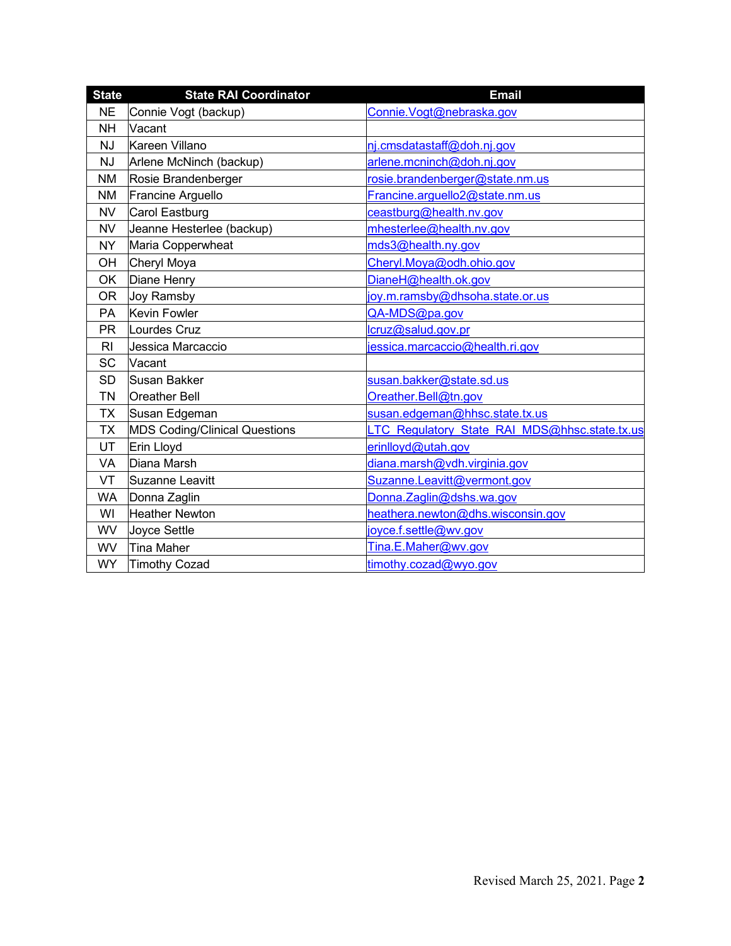| <b>State</b>   | <b>State RAI Coordinator</b>         | Email                                         |
|----------------|--------------------------------------|-----------------------------------------------|
| <b>NE</b>      | Connie Vogt (backup)                 | Connie. Vogt@nebraska.gov                     |
| <b>NH</b>      | Vacant                               |                                               |
| <b>NJ</b>      | Kareen Villano                       | nj.cmsdatastaff@doh.nj.gov                    |
| <b>NJ</b>      | Arlene McNinch (backup)              | arlene.mcninch@doh.nj.gov                     |
| ΝM             | Rosie Brandenberger                  | rosie.brandenberger@state.nm.us               |
| <b>NM</b>      | Francine Arguello                    | Francine.arguello2@state.nm.us                |
| <b>NV</b>      | Carol Eastburg                       | ceastburg@health.nv.gov                       |
| <b>NV</b>      | Jeanne Hesterlee (backup)            | mhesterlee@health.nv.gov                      |
| NY.            | Maria Copperwheat                    | mds3@health.ny.gov                            |
| OH             | Cheryl Moya                          | Cheryl.Moya@odh.ohio.gov                      |
| <b>OK</b>      | Diane Henry                          | DianeH@health.ok.gov                          |
| <b>OR</b>      | Joy Ramsby                           | joy.m.ramsby@dhsoha.state.or.us               |
| <b>PA</b>      | Kevin Fowler                         | QA-MDS@pa.gov                                 |
| <b>PR</b>      | Lourdes Cruz                         | lcruz@salud.gov.pr                            |
| R <sub>l</sub> | Jessica Marcaccio                    | jessica.marcaccio@health.ri.gov               |
| <b>SC</b>      | Vacant                               |                                               |
| <b>SD</b>      | Susan Bakker                         | susan.bakker@state.sd.us                      |
| <b>TN</b>      | <b>Oreather Bell</b>                 | Oreather.Bell@tn.gov                          |
| <b>TX</b>      | Susan Edgeman                        | susan.edgeman@hhsc.state.tx.us                |
| <b>TX</b>      | <b>MDS Coding/Clinical Questions</b> | LTC Regulatory State RAI MDS@hhsc.state.tx.us |
| UT             | Erin Lloyd                           | erinlloyd@utah.gov                            |
| VA             | Diana Marsh                          | diana.marsh@vdh.virginia.gov                  |
| VT             | Suzanne Leavitt                      | Suzanne.Leavitt@vermont.gov                   |
| <b>WA</b>      | Donna Zaglin                         | Donna.Zaglin@dshs.wa.gov                      |
| WI             | <b>Heather Newton</b>                | heathera.newton@dhs.wisconsin.gov             |
| <b>WV</b>      | Joyce Settle                         | joyce.f.settle@wv.gov                         |
| <b>WV</b>      | <b>Tina Maher</b>                    | Tina.E.Maher@wv.gov                           |
| <b>WY</b>      | Timothy Cozad                        | timothy.cozad@wyo.gov                         |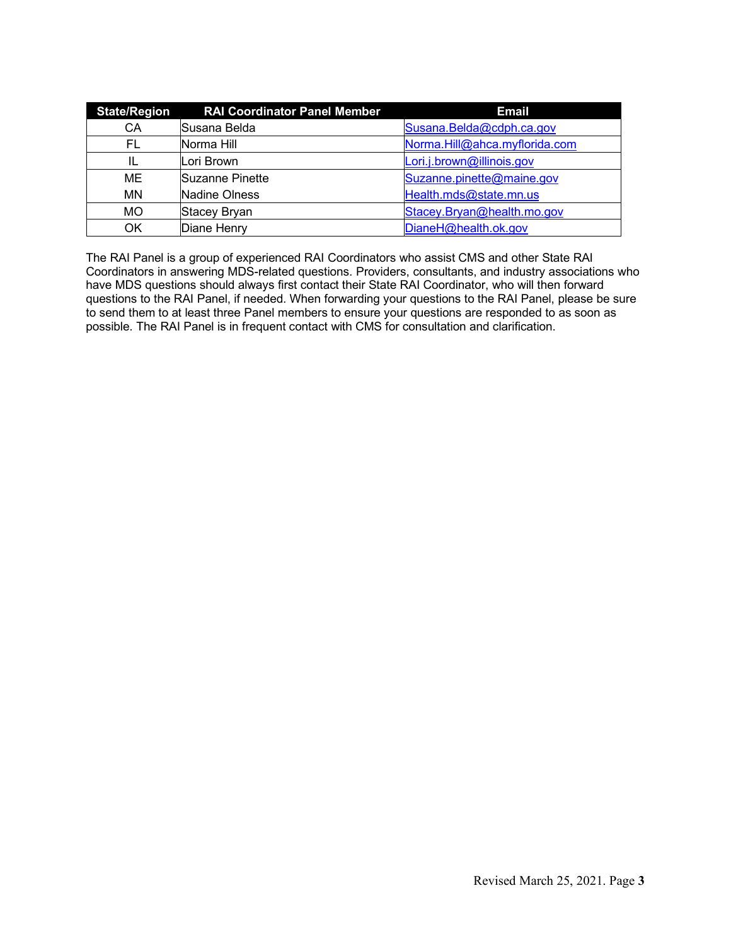| <b>State/Region</b> | <b>RAI Coordinator Panel Member</b> | <b>Email</b>                  |
|---------------------|-------------------------------------|-------------------------------|
| CA                  | Susana Belda                        | Susana.Belda@cdph.ca.gov      |
| FL                  | Norma Hill                          | Norma.Hill@ahca.myflorida.com |
| IL                  | Lori Brown                          | Lori.j.brown@illinois.gov     |
| ME                  | Suzanne Pinette                     | Suzanne.pinette@maine.gov     |
| <b>MN</b>           | <b>Nadine Olness</b>                | Health.mds@state.mn.us        |
| <b>MO</b>           | <b>Stacey Bryan</b>                 | Stacey.Bryan@health.mo.gov    |
| ΟK                  | Diane Henry                         | DianeH@health.ok.gov          |

The RAI Panel is a group of experienced RAI Coordinators who assist CMS and other State RAI Coordinators in answering MDS-related questions. Providers, consultants, and industry associations who have MDS questions should always first contact their State RAI Coordinator, who will then forward questions to the RAI Panel, if needed. When forwarding your questions to the RAI Panel, please be sure to send them to at least three Panel members to ensure your questions are responded to as soon as possible. The RAI Panel is in frequent contact with CMS for consultation and clarification.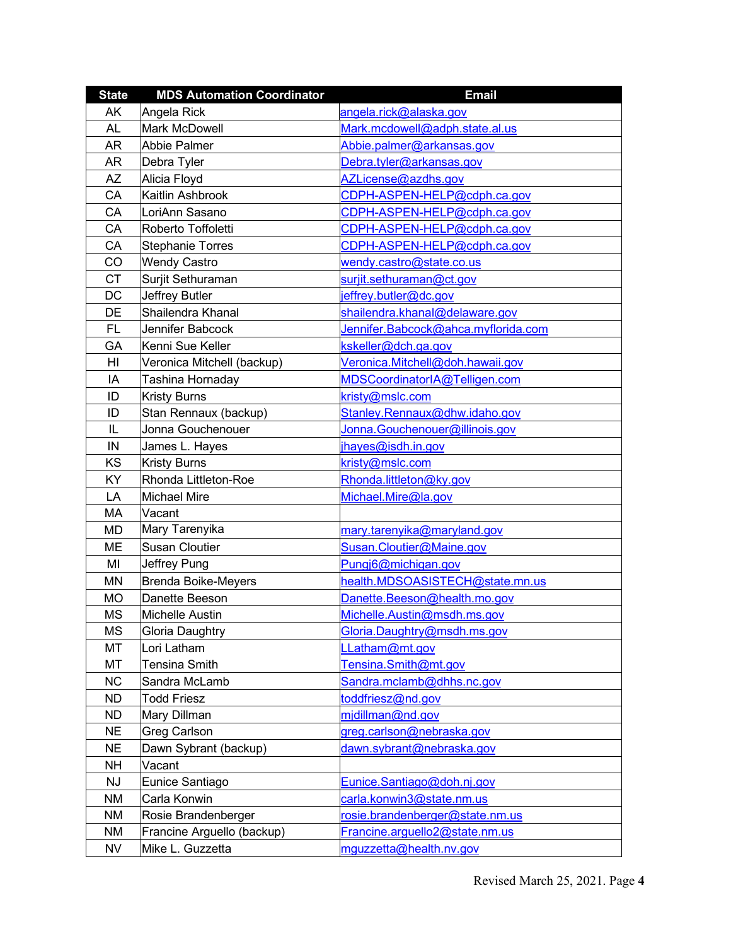| <b>State</b> | <b>MDS Automation Coordinator</b> | <b>Email</b>                        |  |
|--------------|-----------------------------------|-------------------------------------|--|
| AK           | Angela Rick                       | angela.rick@alaska.gov              |  |
| <b>AL</b>    | <b>Mark McDowell</b>              | Mark.mcdowell@adph.state.al.us      |  |
| <b>AR</b>    | <b>Abbie Palmer</b>               | Abbie.palmer@arkansas.gov           |  |
| AR           | Debra Tyler                       | Debra.tyler@arkansas.gov            |  |
| <b>AZ</b>    | Alicia Floyd                      | AZLicense@azdhs.gov                 |  |
| CA           | Kaitlin Ashbrook                  | CDPH-ASPEN-HELP@cdph.ca.gov         |  |
| CA           | LoriAnn Sasano                    | CDPH-ASPEN-HELP@cdph.ca.gov         |  |
| CA           | Roberto Toffoletti                | CDPH-ASPEN-HELP@cdph.ca.gov         |  |
| CA           | <b>Stephanie Torres</b>           | CDPH-ASPEN-HELP@cdph.ca.gov         |  |
| CO           | <b>Wendy Castro</b>               | wendy.castro@state.co.us            |  |
| <b>CT</b>    | Surjit Sethuraman                 | surjit.sethuraman@ct.gov            |  |
| DC           | <b>Jeffrey Butler</b>             | jeffrey.butler@dc.gov               |  |
| DE           | Shailendra Khanal                 | shailendra.khanal@delaware.gov      |  |
| FL           | Jennifer Babcock                  | Jennifer.Babcock@ahca.myflorida.com |  |
| GA           | Kenni Sue Keller                  | kskeller@dch.ga.gov                 |  |
| HI           | Veronica Mitchell (backup)        | Veronica.Mitchell@doh.hawaii.gov    |  |
| IA           | Tashina Hornaday                  | MDSCoordinatorIA@Telligen.com       |  |
| ID           | <b>Kristy Burns</b>               | kristy@mslc.com                     |  |
| ID           | Stan Rennaux (backup)             | Stanley.Rennaux@dhw.idaho.gov       |  |
| IL           | Jonna Gouchenouer                 | Jonna.Gouchenouer@illinois.gov      |  |
| IN           | James L. Hayes                    | jhayes@isdh.in.gov                  |  |
| KS           | <b>Kristy Burns</b>               | kristy@mslc.com                     |  |
| KY           | Rhonda Littleton-Roe              | Rhonda.littleton@ky.gov             |  |
| LA           | <b>Michael Mire</b>               | Michael.Mire@la.gov                 |  |
| MA           | Vacant                            |                                     |  |
| MD           | Mary Tarenyika                    | mary.tarenyika@maryland.gov         |  |
| ME           | <b>Susan Cloutier</b>             | Susan.Cloutier@Maine.gov            |  |
| MI           | Jeffrey Pung                      | Pungj6@michigan.gov                 |  |
| <b>MN</b>    | <b>Brenda Boike-Meyers</b>        | health.MDSOASISTECH@state.mn.us     |  |
| MO           | Danette Beeson                    | Danette.Beeson@health.mo.gov        |  |
| <b>MS</b>    | <b>Michelle Austin</b>            | Michelle.Austin@msdh.ms.gov         |  |
| <b>MS</b>    | <b>Gloria Daughtry</b>            | Gloria.Daughtry@msdh.ms.gov         |  |
| MT           | Lori Latham                       | LLatham@mt.gov                      |  |
| MT           | Tensina Smith                     | Tensina.Smith@mt.gov                |  |
| <b>NC</b>    | Sandra McLamb                     | Sandra.mclamb@dhhs.nc.gov           |  |
| <b>ND</b>    | <b>Todd Friesz</b>                | toddfriesz@nd.gov                   |  |
| <b>ND</b>    | Mary Dillman                      | midillman@nd.gov                    |  |
| <b>NE</b>    | Greg Carlson                      | greg.carlson@nebraska.gov           |  |
| <b>NE</b>    | Dawn Sybrant (backup)             | dawn.sybrant@nebraska.gov           |  |
| <b>NH</b>    | Vacant                            |                                     |  |
| <b>NJ</b>    | Eunice Santiago                   | Eunice.Santiago@doh.nj.gov          |  |
| NM           | Carla Konwin                      | carla.konwin3@state.nm.us           |  |
| NM           | Rosie Brandenberger               | rosie.brandenberger@state.nm.us     |  |
| <b>NM</b>    | Francine Arguello (backup)        | Francine.arguello2@state.nm.us      |  |
| NV           | Mike L. Guzzetta                  | mguzzetta@health.nv.gov             |  |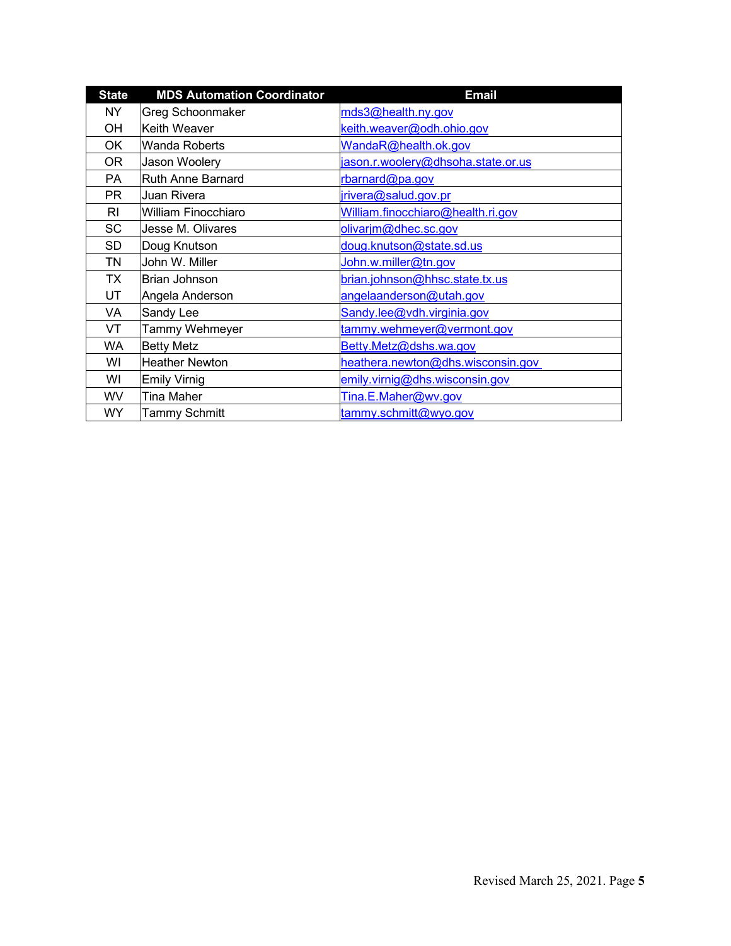| <b>State</b> | <b>MDS Automation Coordinator</b> | <b>Email</b>                       |
|--------------|-----------------------------------|------------------------------------|
| NY           | <b>Greg Schoonmaker</b>           | mds3@health.ny.gov                 |
| OH           | Keith Weaver                      | keith.weaver@odh.ohio.gov          |
| ОK           | <b>Wanda Roberts</b>              | WandaR@health.ok.gov               |
| 0R           | Jason Woolery                     | jason.r.woolery@dhsoha.state.or.us |
| PA           | <b>Ruth Anne Barnard</b>          | rbarnard@pa.gov                    |
| <b>PR</b>    | Juan Rivera                       | jrivera@salud.gov.pr               |
| RI           | <b>William Finocchiaro</b>        | William.finocchiaro@health.ri.gov  |
| SC           | Jesse M. Olivares                 | olivarjm@dhec.sc.gov               |
| SD           | Doug Knutson                      | doug.knutson@state.sd.us           |
| TN           | John W. Miller                    | John.w.miller@tn.gov               |
| ТX           | Brian Johnson                     | brian.johnson@hhsc.state.tx.us     |
| UT           | Angela Anderson                   | angelaanderson@utah.gov            |
| VA           | Sandy Lee                         | Sandy.lee@vdh.virginia.gov         |
| VT           | Tammy Wehmeyer                    | tammy.wehmeyer@vermont.gov         |
| WA           | <b>Betty Metz</b>                 | Betty.Metz@dshs.wa.gov             |
| WI           | <b>Heather Newton</b>             | heathera.newton@dhs.wisconsin.gov  |
| WI           | <b>Emily Virnig</b>               | emily.virnig@dhs.wisconsin.gov     |
| <b>WV</b>    | <b>Tina Maher</b>                 | Tina.E.Maher@wv.gov                |
| <b>WY</b>    | <b>Tammy Schmitt</b>              | tammy.schmitt@wyo.gov              |